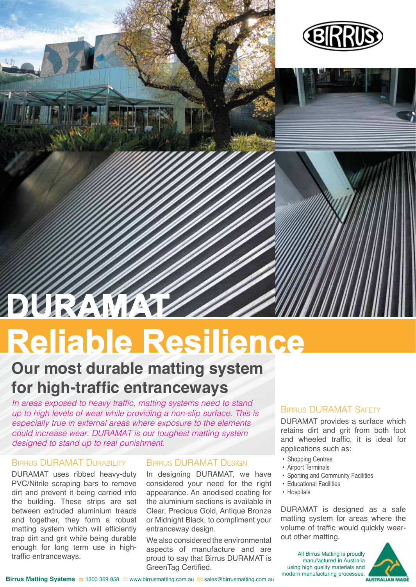

# **Reliable Resilience**

# **Our most durable matting system for high-traffic entranceways**

*In areas exposed to heavy traffic, matting systems need to stand up to high levels of wear while providing a non-slip surface. This is especially true in external areas where exposure to the elements could increase wear. DURAMAT is our toughest matting system designed to stand up to real punishment.*

## Birrus DURAMAT Durability

DURAMAT uses ribbed heavy-duty PVC/Nitrile scraping bars to remove dirt and prevent it being carried into the building. These strips are set between extruded aluminium treads and together, they form a robust matting system which will efficiently trap dirt and grit while being durable enough for long term use in hightraffic entranceways.

## Birrus DURAMAT Design

In designing DURAMAT, we have considered your need for the right appearance. An anodised coating for the aluminium sections is available in Clear, Precious Gold, Antique Bronze or Midnight Black, to compliment your entranceway design.

We also considered the environmental aspects of manufacture and are proud to say that Birrus DURAMAT is GreenTag Certified.

## Birrus DURAMAT Safety

DURAMAT provides a surface which retains dirt and grit from both foot and wheeled traffic, it is ideal for applications such as:

- Shopping Centres
- Airport Terminals
- Sporting and Community Facilities
- Educational Facilities
- Hospitals

DURAMAT is designed as a safe matting system for areas where the volume of traffic would quickly wearout other matting.

All Birrus Matting is proudly manufactured in Australia using high quality materials and modern manufacturing processes.